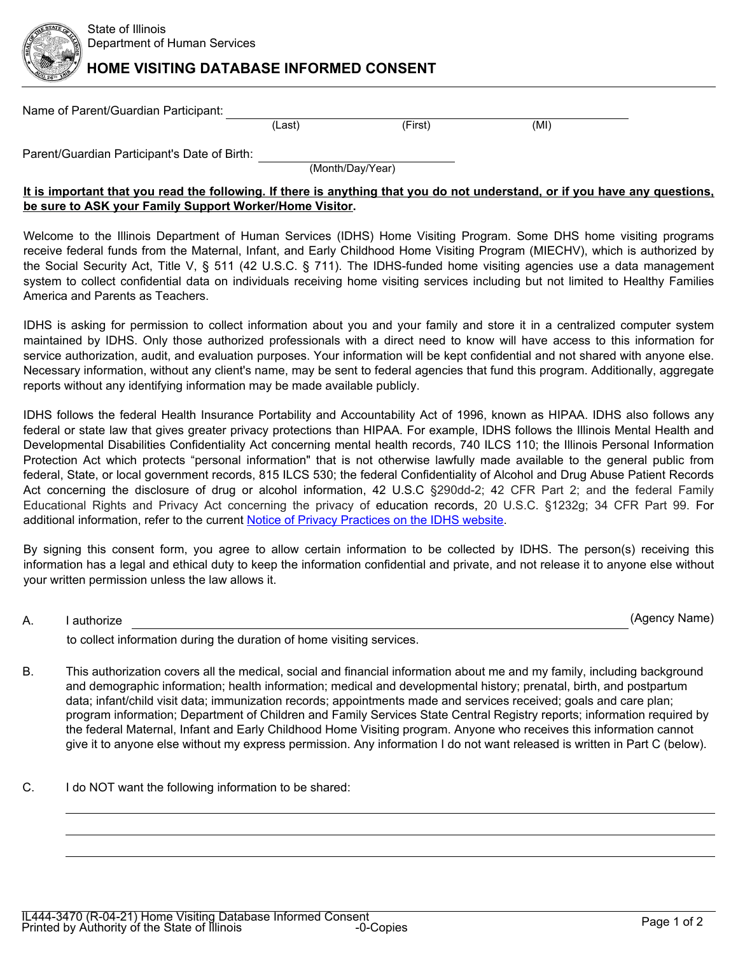

## **HOME VISITING DATABASE INFORMED CONSENT**

| Name of Parent/Guardian Participant:         |        |         |      |  |  |
|----------------------------------------------|--------|---------|------|--|--|
|                                              | (Last) | (First) | (MI) |  |  |
| Parent/Guardian Participant's Date of Birth: |        |         |      |  |  |

(Month/Day/Year)

## **It is important that you read the following. If there is anything that you do not understand, or if you have any questions, be sure to ASK your Family Support Worker/Home Visitor.**

Welcome to the Illinois Department of Human Services (IDHS) Home Visiting Program. Some DHS home visiting programs receive federal funds from the Maternal, Infant, and Early Childhood Home Visiting Program (MIECHV), which is authorized by the Social Security Act, Title V, § 511 (42 U.S.C. § 711). The IDHS-funded home visiting agencies use a data management system to collect confidential data on individuals receiving home visiting services including but not limited to Healthy Families America and Parents as Teachers.

IDHS is asking for permission to collect information about you and your family and store it in a centralized computer system maintained by IDHS. Only those authorized professionals with a direct need to know will have access to this information for service authorization, audit, and evaluation purposes. Your information will be kept confidential and not shared with anyone else. Necessary information, without any client's name, may be sent to federal agencies that fund this program. Additionally, aggregate reports without any identifying information may be made available publicly.

IDHS follows the federal Health Insurance Portability and Accountability Act of 1996, known as HIPAA. IDHS also follows any federal or state law that gives greater privacy protections than HIPAA. For example, IDHS follows the Illinois Mental Health and Developmental Disabilities Confidentiality Act concerning mental health records, 740 ILCS 110; the Illinois Personal Information Protection Act which protects "personal information" that is not otherwise lawfully made available to the general public from federal, State, or local government records, 815 ILCS 530; the federal Confidentiality of Alcohol and Drug Abuse Patient Records Act concerning the disclosure of drug or alcohol information, 42 U.S.C §290dd-2; 42 CFR Part 2; and the federal Family Educational Rights and Privacy Act concerning the privacy of education records, 20 U.S.C. §1232g; 34 CFR Part 99. For additional information, refer to the current [Notice of Privacy Practices on the IDHS website.](https://www.dhs.state.il.us/onenetlibrary/12/documents/Forms/IL4\hich\af1\dbch\af1\loch\f1 44-4775.pdf)

By signing this consent form, you agree to allow certain information to be collected by IDHS. The person(s) receiving this information has a legal and ethical duty to keep the information confidential and private, and not release it to anyone else without your written permission unless the law allows it.

A. I authorize

(Agency Name)

to collect information during the duration of home visiting services.

- B. This authorization covers all the medical, social and financial information about me and my family, including background and demographic information; health information; medical and developmental history; prenatal, birth, and postpartum data; infant/child visit data; immunization records; appointments made and services received; goals and care plan; program information; Department of Children and Family Services State Central Registry reports; information required by the federal Maternal, Infant and Early Childhood Home Visiting program. Anyone who receives this information cannot give it to anyone else without my express permission. Any information I do not want released is written in Part C (below).
- C. I do NOT want the following information to be shared: